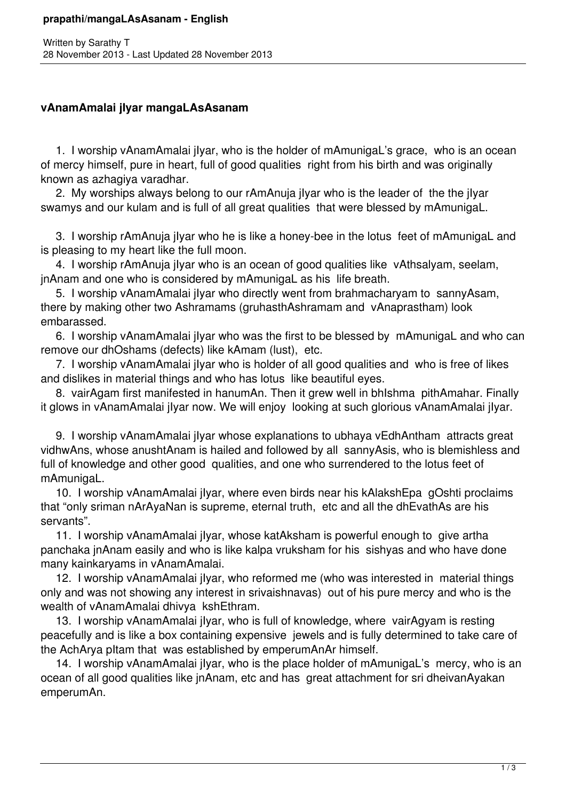## **vAnamAmalai jIyar mangaLAsAsanam**

 1. I worship vAnamAmalai jIyar, who is the holder of mAmunigaL's grace, who is an ocean of mercy himself, pure in heart, full of good qualities right from his birth and was originally known as azhagiya varadhar.

 2. My worships always belong to our rAmAnuja jIyar who is the leader of the the jIyar swamys and our kulam and is full of all great qualities that were blessed by mAmunigaL.

 3. I worship rAmAnuja jIyar who he is like a honey-bee in the lotus feet of mAmunigaL and is pleasing to my heart like the full moon.

 4. I worship rAmAnuja jIyar who is an ocean of good qualities like vAthsalyam, seelam, jnAnam and one who is considered by mAmunigaL as his life breath.

 5. I worship vAnamAmalai jIyar who directly went from brahmacharyam to sannyAsam, there by making other two Ashramams (gruhasthAshramam and vAnaprastham) look embarassed.

 6. I worship vAnamAmalai jIyar who was the first to be blessed by mAmunigaL and who can remove our dhOshams (defects) like kAmam (lust), etc.

 7. I worship vAnamAmalai jIyar who is holder of all good qualities and who is free of likes and dislikes in material things and who has lotus like beautiful eyes.

 8. vairAgam first manifested in hanumAn. Then it grew well in bhIshma pithAmahar. Finally it glows in vAnamAmalai jIyar now. We will enjoy looking at such glorious vAnamAmalai jIyar.

 9. I worship vAnamAmalai jIyar whose explanations to ubhaya vEdhAntham attracts great vidhwAns, whose anushtAnam is hailed and followed by all sannyAsis, who is blemishless and full of knowledge and other good qualities, and one who surrendered to the lotus feet of mAmunigaL.

 10. I worship vAnamAmalai jIyar, where even birds near his kAlakshEpa gOshti proclaims that "only sriman nArAyaNan is supreme, eternal truth, etc and all the dhEvathAs are his servants".

 11. I worship vAnamAmalai jIyar, whose katAksham is powerful enough to give artha panchaka jnAnam easily and who is like kalpa vruksham for his sishyas and who have done many kainkaryams in vAnamAmalai.

 12. I worship vAnamAmalai jIyar, who reformed me (who was interested in material things only and was not showing any interest in srivaishnavas) out of his pure mercy and who is the wealth of vAnamAmalai dhivya kshEthram.

 13. I worship vAnamAmalai jIyar, who is full of knowledge, where vairAgyam is resting peacefully and is like a box containing expensive jewels and is fully determined to take care of the AchArya pItam that was established by emperumAnAr himself.

 14. I worship vAnamAmalai jIyar, who is the place holder of mAmunigaL's mercy, who is an ocean of all good qualities like jnAnam, etc and has great attachment for sri dheivanAyakan emperumAn.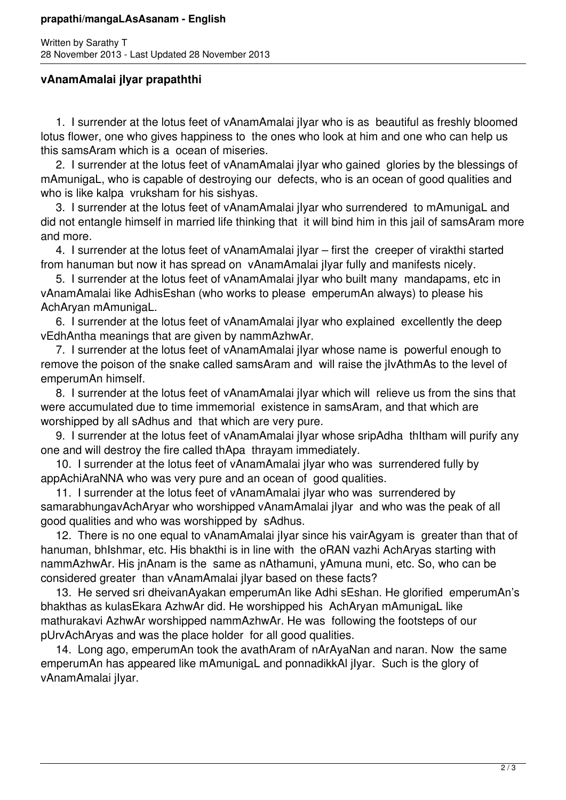## **prapathi/mangaLAsAsanam - English**

Written by Sarathy T 28 November 2013 - Last Updated 28 November 2013

## **vAnamAmalai jIyar prapaththi**

 1. I surrender at the lotus feet of vAnamAmalai jIyar who is as beautiful as freshly bloomed lotus flower, one who gives happiness to the ones who look at him and one who can help us this samsAram which is a ocean of miseries.

 2. I surrender at the lotus feet of vAnamAmalai jIyar who gained glories by the blessings of mAmunigaL, who is capable of destroying our defects, who is an ocean of good qualities and who is like kalpa vruksham for his sishyas.

 3. I surrender at the lotus feet of vAnamAmalai jIyar who surrendered to mAmunigaL and did not entangle himself in married life thinking that it will bind him in this jail of samsAram more and more.

 4. I surrender at the lotus feet of vAnamAmalai jIyar – first the creeper of virakthi started from hanuman but now it has spread on vAnamAmalai jIyar fully and manifests nicely.

 5. I surrender at the lotus feet of vAnamAmalai jIyar who built many mandapams, etc in vAnamAmalai like AdhisEshan (who works to please emperumAn always) to please his AchAryan mAmunigaL.

 6. I surrender at the lotus feet of vAnamAmalai jIyar who explained excellently the deep vEdhAntha meanings that are given by nammAzhwAr.

 7. I surrender at the lotus feet of vAnamAmalai jIyar whose name is powerful enough to remove the poison of the snake called samsAram and will raise the jIvAthmAs to the level of emperumAn himself.

 8. I surrender at the lotus feet of vAnamAmalai jIyar which will relieve us from the sins that were accumulated due to time immemorial existence in samsAram, and that which are worshipped by all sAdhus and that which are very pure.

 9. I surrender at the lotus feet of vAnamAmalai jIyar whose sripAdha thItham will purify any one and will destroy the fire called thApa thrayam immediately.

 10. I surrender at the lotus feet of vAnamAmalai jIyar who was surrendered fully by appAchiAraNNA who was very pure and an ocean of good qualities.

 11. I surrender at the lotus feet of vAnamAmalai jIyar who was surrendered by samarabhungavAchAryar who worshipped vAnamAmalai jIyar and who was the peak of all good qualities and who was worshipped by sAdhus.

 12. There is no one equal to vAnamAmalai jIyar since his vairAgyam is greater than that of hanuman, bhIshmar, etc. His bhakthi is in line with the oRAN vazhi AchAryas starting with nammAzhwAr. His jnAnam is the same as nAthamuni, yAmuna muni, etc. So, who can be considered greater than vAnamAmalai jIyar based on these facts?

 13. He served sri dheivanAyakan emperumAn like Adhi sEshan. He glorified emperumAn's bhakthas as kulasEkara AzhwAr did. He worshipped his AchAryan mAmunigaL like mathurakavi AzhwAr worshipped nammAzhwAr. He was following the footsteps of our pUrvAchAryas and was the place holder for all good qualities.

 14. Long ago, emperumAn took the avathAram of nArAyaNan and naran. Now the same emperumAn has appeared like mAmunigaL and ponnadikkAl jIyar. Such is the glory of vAnamAmalai jIyar.